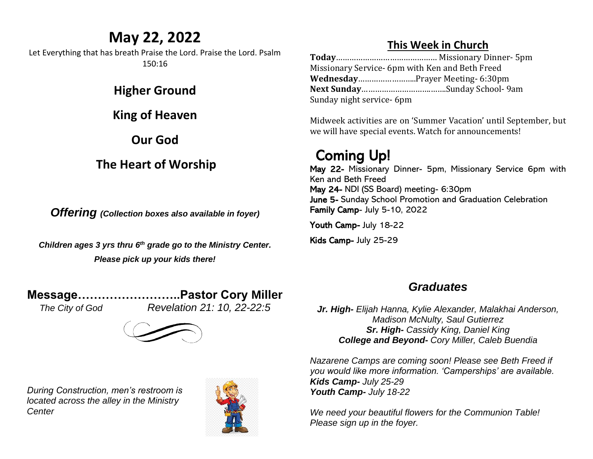## **May 22, 2022**

Let Everything that has breath Praise the Lord. Praise the Lord. Psalm 150:16

#### **Higher Ground**

**King of Heaven**

**Our God**

#### **The Heart of Worship**

*Offering (Collection boxes also available in foyer)*

*Children ages 3 yrs thru 6 th grade go to the Ministry Center. Please pick up your kids there!*

#### **Message……………………..Pastor Cory Miller**

*The City of God Revelation 21: 10, 22-22:5*



*During Construction, men's restroom is located across the alley in the Ministry Center*



#### **This Week in Church**

**Today**……………………………………… Missionary Dinner- 5pm Missionary Service- 6pm with Ken and Beth Freed **Wednesday**……………………..Prayer Meeting- 6:30pm **Next Sunday**………………………….…….Sunday School- 9am Sunday night service- 6pm

Midweek activities are on 'Summer Vacation' until September, but we will have special events. Watch for announcements!

# Coming Up!

May 22- Missionary Dinner- 5pm, Missionary Service 6pm with Ken and Beth Freed May 24- NDI (SS Board) meeting- 6:30pm June 5- Sunday School Promotion and Graduation Celebration Family Camp- July 5-10, 2022

Youth Camp- July 18-22

Kids Camp- July 25-29

### *Graduates*

*Jr. High- Elijah Hanna, Kylie Alexander, Malakhai Anderson, Madison McNulty, Saul Gutierrez Sr. High- Cassidy King, Daniel King College and Beyond- Cory Miller, Caleb Buendia*

*Nazarene Camps are coming soon! Please see Beth Freed if you would like more information. 'Camperships' are available. Kids Camp- July 25-29 Youth Camp- July 18-22*

*We need your beautiful flowers for the Communion Table! Please sign up in the foyer.*